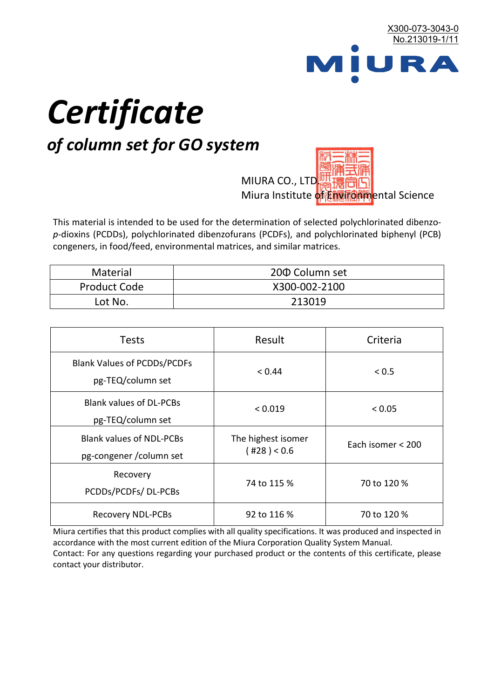

# *Certificate*

## *of column set for GO system*

MIURA CO., LTD. Miura Institute of 正版而解ental Science

This material is intended to be used for the determination of selected polychlorinated dibenzo*p*-dioxins (PCDDs), polychlorinated dibenzofurans (PCDFs), and polychlorinated biphenyl (PCB) congeners, in food/feed, environmental matrices, and similar matrices.

| <b>Material</b>     | 200 Column set |
|---------------------|----------------|
| <b>Product Code</b> | X300-002-2100  |
| Lot No.             | 213019         |

| <b>Tests</b>                                                | Result                            | Criteria          |
|-------------------------------------------------------------|-----------------------------------|-------------------|
| <b>Blank Values of PCDDs/PCDFs</b><br>pg-TEQ/column set     | < 0.44                            | < 0.5             |
| <b>Blank values of DL-PCBs</b><br>pg-TEQ/column set         | < 0.019                           | < 0.05            |
| <b>Blank values of NDL-PCBs</b><br>pg-congener / column set | The highest isomer<br>(428) < 0.6 | Each isomer < 200 |
| Recovery<br>PCDDs/PCDFs/DL-PCBs                             | 74 to 115 %                       | 70 to 120 %       |
| <b>Recovery NDL-PCBs</b>                                    | 92 to 116 %                       | 70 to 120 %       |

Miura certifies that this product complies with all quality specifications. It was produced and inspected in accordance with the most current edition of the Miura Corporation Quality System Manual. Contact: For any questions regarding your purchased product or the contents of this certificate, please contact your distributor.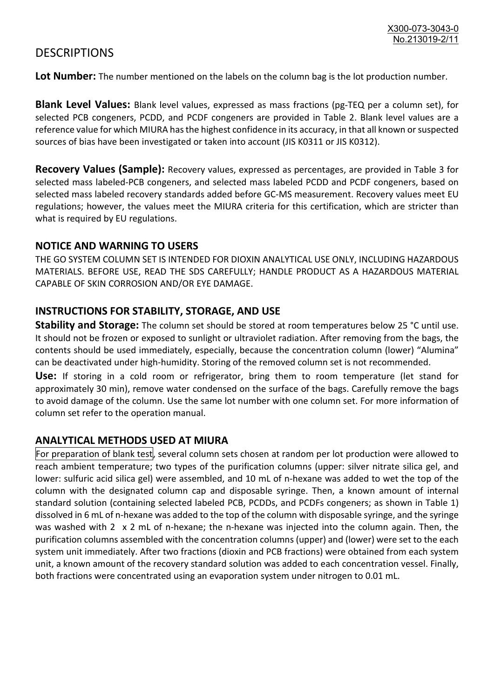### **DESCRIPTIONS**

**Lot Number:** The number mentioned on the labels on the column bag is the lot production number.

**Blank Level Values:** Blank level values, expressed as mass fractions (pg-TEQ per a column set), for selected PCB congeners, PCDD, and PCDF congeners are provided in Table 2. Blank level values are a reference value for which MIURA has the highest confidence in its accuracy, in that all known or suspected sources of bias have been investigated or taken into account (JIS K0311 or JIS K0312).

**Recovery Values (Sample):** Recovery values, expressed as percentages, are provided in Table 3 for selected mass labeled-PCB congeners, and selected mass labeled PCDD and PCDF congeners, based on selected mass labeled recovery standards added before GC-MS measurement. Recovery values meet EU regulations; however, the values meet the MIURA criteria for this certification, which are stricter than what is required by EU regulations.

#### **NOTICE AND WARNING TO USERS**

THE GO SYSTEM COLUMN SET IS INTENDED FOR DIOXIN ANALYTICAL USE ONLY, INCLUDING HAZARDOUS MATERIALS. BEFORE USE, READ THE SDS CAREFULLY; HANDLE PRODUCT AS A HAZARDOUS MATERIAL CAPABLE OF SKIN CORROSION AND/OR EYE DAMAGE.

#### **INSTRUCTIONS FOR STABILITY, STORAGE, AND USE**

**Stability and Storage:** The column set should be stored at room temperatures below 25 °C until use. It should not be frozen or exposed to sunlight or ultraviolet radiation. After removing from the bags, the contents should be used immediately, especially, because the concentration column (lower) "Alumina" can be deactivated under high-humidity. Storing of the removed column set is not recommended.

**Use:** If storing in a cold room or refrigerator, bring them to room temperature (let stand for approximately 30 min), remove water condensed on the surface of the bags. Carefully remove the bags to avoid damage of the column. Use the same lot number with one column set. For more information of column set refer to the operation manual.

#### **ANALYTICAL METHODS USED AT MIURA**

For preparation of blank test, several column sets chosen at random per lot production were allowed to reach ambient temperature; two types of the purification columns (upper: silver nitrate silica gel, and lower: sulfuric acid silica gel) were assembled, and 10 mL of n-hexane was added to wet the top of the column with the designated column cap and disposable syringe. Then, a known amount of internal standard solution (containing selected labeled PCB, PCDDs, and PCDFs congeners; as shown in Table 1) dissolved in 6 mL of n-hexane was added to the top of the column with disposable syringe, and the syringe was washed with 2 x 2 mL of n-hexane; the n-hexane was injected into the column again. Then, the purification columns assembled with the concentration columns (upper) and (lower) were set to the each system unit immediately. After two fractions (dioxin and PCB fractions) were obtained from each system unit, a known amount of the recovery standard solution was added to each concentration vessel. Finally, both fractions were concentrated using an evaporation system under nitrogen to 0.01 mL.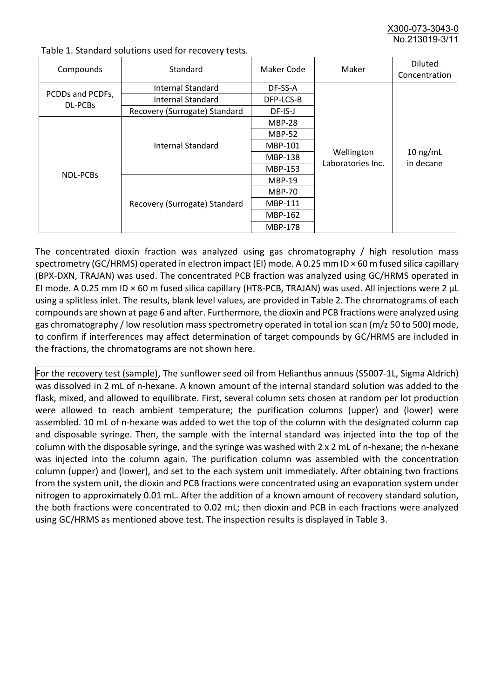X300-073-3043-0 No.213019-3/

| Compounds                   | Standard                      | Maker Code     | Maker                           | <b>Diluted</b><br>Concentration |
|-----------------------------|-------------------------------|----------------|---------------------------------|---------------------------------|
| PCDDs and PCDFs,<br>DL-PCBs | Internal Standard             | DF-SS-A        |                                 | $10$ ng/mL<br>in decane         |
|                             | <b>Internal Standard</b>      | DFP-LCS-B      |                                 |                                 |
|                             | Recovery (Surrogate) Standard | DF-IS-J        | Wellington<br>Laboratories Inc. |                                 |
| NDL-PCBs                    | Internal Standard             | <b>MBP-28</b>  |                                 |                                 |
|                             |                               | <b>MBP-52</b>  |                                 |                                 |
|                             |                               | MBP-101        |                                 |                                 |
|                             |                               | <b>MBP-138</b> |                                 |                                 |
|                             |                               | MBP-153        |                                 |                                 |
|                             | Recovery (Surrogate) Standard | <b>MBP-19</b>  |                                 |                                 |
|                             |                               | <b>MBP-70</b>  |                                 |                                 |
|                             |                               | <b>MBP-111</b> |                                 |                                 |
|                             |                               | MBP-162        |                                 |                                 |
|                             |                               | <b>MBP-178</b> |                                 |                                 |

Table 1. Standard solutions used for recovery tests.

The concentrated dioxin fraction was analyzed using gas chromatography / high resolution mass spectrometry (GC/HRMS) operated in electron impact (EI) mode. A 0.25 mm ID × 60 m fused silica capillary (BPX-DXN, TRAJAN) was used. The concentrated PCB fraction was analyzed using GC/HRMS operated in EI mode. A 0.25 mm ID × 60 m fused silica capillary (HT8-PCB, TRAJAN) was used. All injections were 2 μL using a splitless inlet. The results, blank level values, are provided in Table 2. The chromatograms of each compounds are shown at page 6 and after. Furthermore, the dioxin and PCB fractions were analyzed using gas chromatography / low resolution mass spectrometry operated in total ion scan (m/z 50 to 500) mode, to confirm if interferences may affect determination of target compounds by GC/HRMS are included in the fractions, the chromatograms are not shown here.

For the recovery test (sample), The sunflower seed oil from Helianthus annuus (S5007-1L, Sigma Aldrich) was dissolved in 2 mL of n-hexane. A known amount of the internal standard solution was added to the flask, mixed, and allowed to equilibrate. First, several column sets chosen at random per lot production were allowed to reach ambient temperature; the purification columns (upper) and (lower) were assembled. 10 mL of n-hexane was added to wet the top of the column with the designated column cap and disposable syringe. Then, the sample with the internal standard was injected into the top of the column with the disposable syringe, and the syringe was washed with 2 x 2 mL of n-hexane; the n-hexane was injected into the column again. The purification column was assembled with the concentration column (upper) and (lower), and set to the each system unit immediately. After obtaining two fractions from the system unit, the dioxin and PCB fractions were concentrated using an evaporation system under nitrogen to approximately 0.01 mL. After the addition of a known amount of recovery standard solution, the both fractions were concentrated to 0.02 mL; then dioxin and PCB in each fractions were analyzed using GC/HRMS as mentioned above test. The inspection results is displayed in Table 3.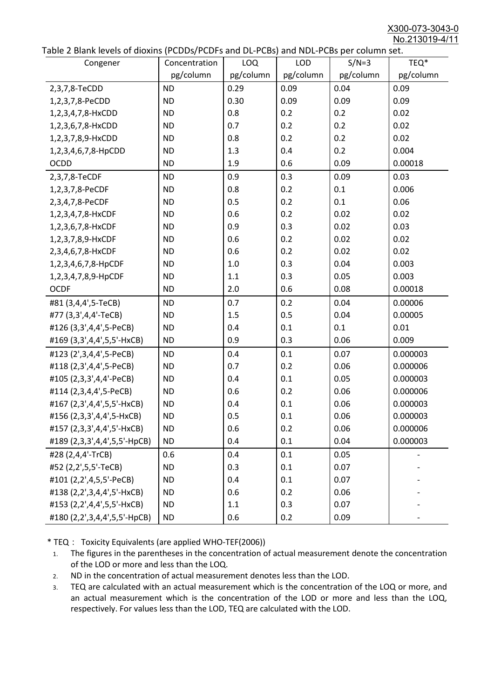X300-073-3043-0 No.213019-4/11

|  | Table 2 Blank levels of dioxins (PCDDs/PCDFs and DL-PCBs) and NDL-PCBs per column set. |
|--|----------------------------------------------------------------------------------------|
|--|----------------------------------------------------------------------------------------|

| abic 2 Diarik icveis of dioxins (I CDD3/TCDTs and DET CD3/ and NDET CD3 pcr column sett.<br>Congener | Concentration | <b>LOQ</b> | <b>LOD</b> | $S/N=3$   | TEQ*      |
|------------------------------------------------------------------------------------------------------|---------------|------------|------------|-----------|-----------|
|                                                                                                      | pg/column     | pg/column  | pg/column  | pg/column | pg/column |
| 2,3,7,8-TeCDD                                                                                        | <b>ND</b>     | 0.29       | 0.09       | 0.04      | 0.09      |
| 1,2,3,7,8-PeCDD                                                                                      | <b>ND</b>     | 0.30       | 0.09       | 0.09      | 0.09      |
| 1,2,3,4,7,8-HxCDD                                                                                    | <b>ND</b>     | 0.8        | 0.2        | 0.2       | 0.02      |
| 1,2,3,6,7,8-HxCDD                                                                                    | <b>ND</b>     | 0.7        | 0.2        | 0.2       | 0.02      |
| 1,2,3,7,8,9-HxCDD                                                                                    | <b>ND</b>     | 0.8        | 0.2        | 0.2       | 0.02      |
| 1,2,3,4,6,7,8-HpCDD                                                                                  | <b>ND</b>     | 1.3        | 0.4        | 0.2       | 0.004     |
| <b>OCDD</b>                                                                                          | <b>ND</b>     | 1.9        | 0.6        | 0.09      | 0.00018   |
| 2,3,7,8-TeCDF                                                                                        | <b>ND</b>     | 0.9        | 0.3        | 0.09      | 0.03      |
| 1,2,3,7,8-PeCDF                                                                                      | <b>ND</b>     | 0.8        | 0.2        | 0.1       | 0.006     |
| 2,3,4,7,8-PeCDF                                                                                      | <b>ND</b>     | 0.5        | 0.2        | 0.1       | 0.06      |
| 1,2,3,4,7,8-HxCDF                                                                                    | <b>ND</b>     | 0.6        | 0.2        | 0.02      | 0.02      |
| 1,2,3,6,7,8-HxCDF                                                                                    | <b>ND</b>     | 0.9        | 0.3        | 0.02      | 0.03      |
| 1,2,3,7,8,9-HxCDF                                                                                    | <b>ND</b>     | 0.6        | 0.2        | 0.02      | 0.02      |
| 2,3,4,6,7,8-HxCDF                                                                                    | <b>ND</b>     | 0.6        | 0.2        | 0.02      | 0.02      |
| 1,2,3,4,6,7,8-HpCDF                                                                                  | <b>ND</b>     | 1.0        | 0.3        | 0.04      | 0.003     |
| 1,2,3,4,7,8,9-HpCDF                                                                                  | <b>ND</b>     | 1.1        | 0.3        | 0.05      | 0.003     |
| <b>OCDF</b>                                                                                          | <b>ND</b>     | 2.0        | 0.6        | 0.08      | 0.00018   |
| #81 (3,4,4',5-TeCB)                                                                                  | <b>ND</b>     | 0.7        | 0.2        | 0.04      | 0.00006   |
| #77 (3,3',4,4'-TeCB)                                                                                 | <b>ND</b>     | 1.5        | 0.5        | 0.04      | 0.00005   |
| #126 (3,3',4,4',5-PeCB)                                                                              | <b>ND</b>     | 0.4        | 0.1        | 0.1       | 0.01      |
| #169 (3,3',4,4',5,5'-HxCB)                                                                           | <b>ND</b>     | 0.9        | 0.3        | 0.06      | 0.009     |
| #123 (2',3,4,4',5-PeCB)                                                                              | <b>ND</b>     | 0.4        | 0.1        | 0.07      | 0.000003  |
| #118 (2,3',4,4',5-PeCB)                                                                              | <b>ND</b>     | 0.7        | 0.2        | 0.06      | 0.000006  |
| #105 (2,3,3',4,4'-PeCB)                                                                              | <b>ND</b>     | 0.4        | 0.1        | 0.05      | 0.000003  |
| #114 (2,3,4,4',5-PeCB)                                                                               | <b>ND</b>     | 0.6        | 0.2        | 0.06      | 0.000006  |
| #167 (2,3',4,4',5,5'-HxCB)                                                                           | <b>ND</b>     | 0.4        | 0.1        | 0.06      | 0.000003  |
| #156 (2,3,3',4,4',5-HxCB)                                                                            | <b>ND</b>     | 0.5        | 0.1        | 0.06      | 0.000003  |
| #157 (2,3,3',4,4',5'-HxCB)                                                                           | <b>ND</b>     | 0.6        | 0.2        | 0.06      | 0.000006  |
| #189 (2,3,3',4,4',5,5'-HpCB)                                                                         | <b>ND</b>     | 0.4        | 0.1        | 0.04      | 0.000003  |
| #28 (2,4,4'-TrCB)                                                                                    | 0.6           | 0.4        | 0.1        | 0.05      |           |
| #52 (2,2',5,5'-TeCB)                                                                                 | <b>ND</b>     | 0.3        | 0.1        | 0.07      |           |
| #101 (2,2',4,5,5'-PeCB)                                                                              | <b>ND</b>     | 0.4        | 0.1        | 0.07      |           |
| #138 (2,2',3,4,4',5'-HxCB)                                                                           | <b>ND</b>     | 0.6        | 0.2        | 0.06      |           |
| #153 (2,2',4,4',5,5'-HxCB)                                                                           | <b>ND</b>     | 1.1        | 0.3        | 0.07      |           |
| #180 (2,2',3,4,4',5,5'-HpCB)                                                                         | <b>ND</b>     | 0.6        | 0.2        | 0.09      |           |

\* TEQ: Toxicity Equivalents (are applied WHO-TEF(2006))

- 1. The figures in the parentheses in the concentration of actual measurement denote the concentration of the LOD or more and less than the LOQ.
- 2. ND in the concentration of actual measurement denotes less than the LOD.
- 3. TEQ are calculated with an actual measurement which is the concentration of the LOQ or more, and an actual measurement which is the concentration of the LOD or more and less than the LOQ, respectively. For values less than the LOD, TEQ are calculated with the LOD.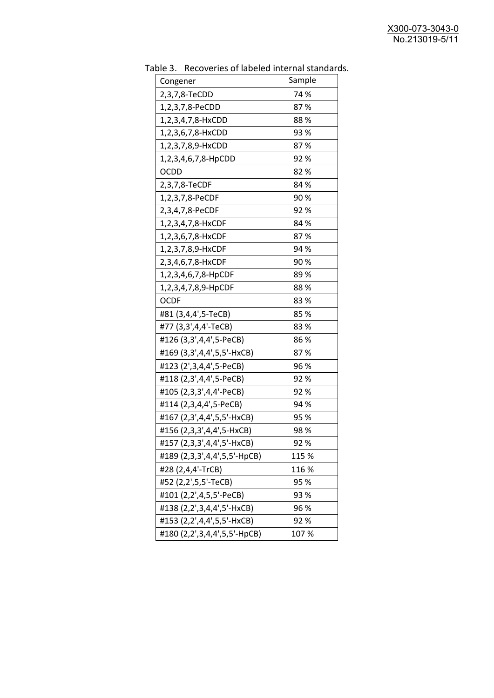| uwic J.<br><u>RECOVERTS OF RESERVED INTERNATION STATIONS</u> |        |
|--------------------------------------------------------------|--------|
| Congener                                                     | Sample |
| 2,3,7,8-TeCDD                                                | 74 %   |
| 1,2,3,7,8-PeCDD                                              | 87%    |
| 1,2,3,4,7,8-HxCDD                                            | 88%    |
| 1,2,3,6,7,8-HxCDD                                            | 93 %   |
| 1,2,3,7,8,9-HxCDD                                            | 87%    |
| 1,2,3,4,6,7,8-HpCDD                                          | 92%    |
| <b>OCDD</b>                                                  | 82%    |
| 2,3,7,8-TeCDF                                                | 84 %   |
| 1,2,3,7,8-PeCDF                                              | 90%    |
| 2,3,4,7,8-PeCDF                                              | 92%    |
| 1,2,3,4,7,8-HxCDF                                            | 84 %   |
| 1,2,3,6,7,8-HxCDF                                            | 87%    |
| 1,2,3,7,8,9-HxCDF                                            | 94 %   |
| 2,3,4,6,7,8-HxCDF                                            | 90%    |
| 1,2,3,4,6,7,8-HpCDF                                          | 89%    |
| 1,2,3,4,7,8,9-HpCDF                                          | 88%    |
| <b>OCDF</b>                                                  | 83%    |
| #81 (3,4,4',5-TeCB)                                          | 85%    |
| #77 (3,3',4,4'-TeCB)                                         | 83%    |
| #126 (3,3',4,4',5-PeCB)                                      | 86%    |
| #169 (3,3',4,4',5,5'-HxCB)                                   | 87%    |
| #123 (2',3,4,4',5-PeCB)                                      | 96 %   |
| #118 (2,3',4,4',5-PeCB)                                      | 92%    |
| #105 (2,3,3',4,4'-PeCB)                                      | 92%    |
| #114 (2,3,4,4',5-PeCB)                                       | 94 %   |
| #167 (2,3',4,4',5,5'-HxCB)                                   | 95 %   |
| #156 (2,3,3',4,4',5-HxCB)                                    | 98%    |
| #157 (2,3,3',4,4',5'-HxCB)                                   | 92 %   |
| #189 (2,3,3',4,4',5,5'-HpCB)                                 | 115 %  |
| #28 (2,4,4'-TrCB)                                            | 116 %  |
| #52 (2,2',5,5'-TeCB)                                         | 95 %   |
| #101 (2,2',4,5,5'-PeCB)                                      | 93 %   |
| #138 (2,2',3,4,4',5'-HxCB)                                   | 96 %   |
| #153 (2,2',4,4',5,5'-HxCB)                                   | 92%    |
| #180 (2,2',3,4,4',5,5'-HpCB)                                 | 107%   |

Table 3. Recoveries of labeled internal standards.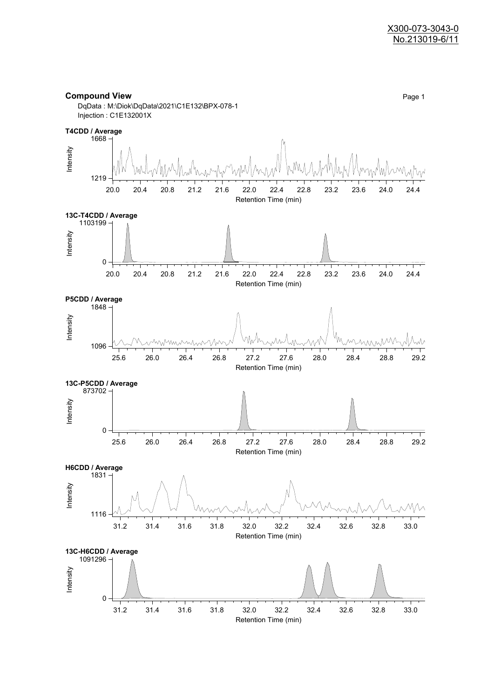

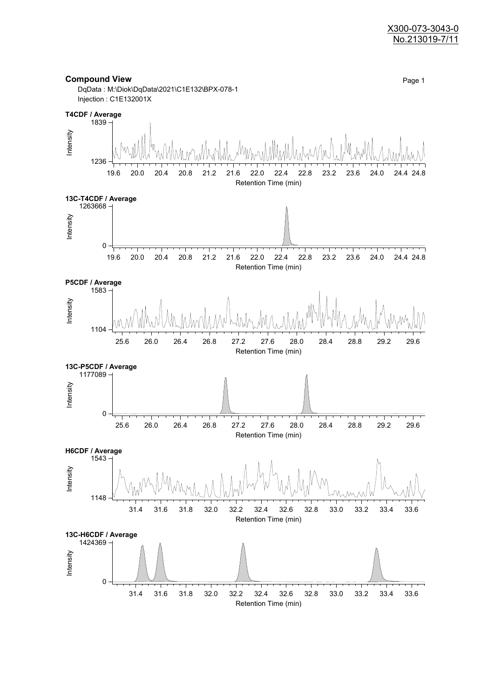#### X300-073-3043-0 No.213019-7/11

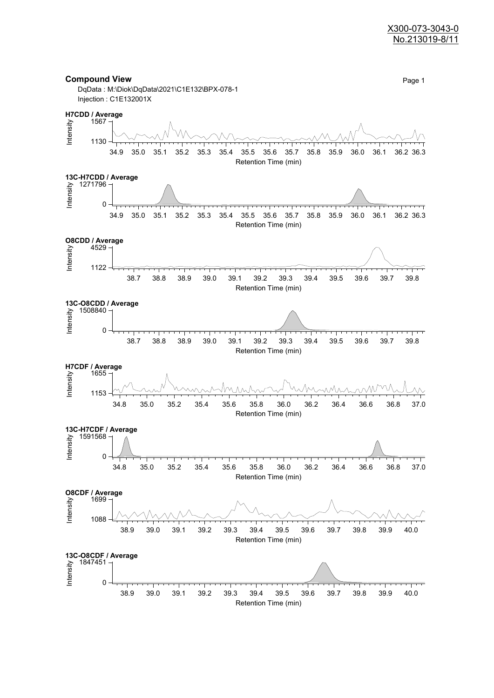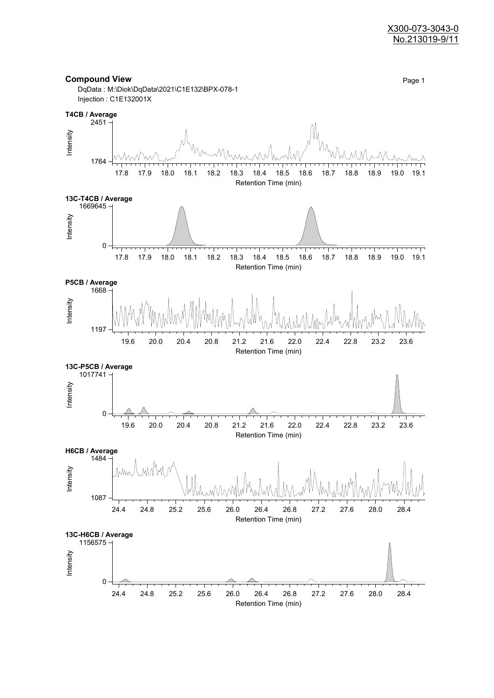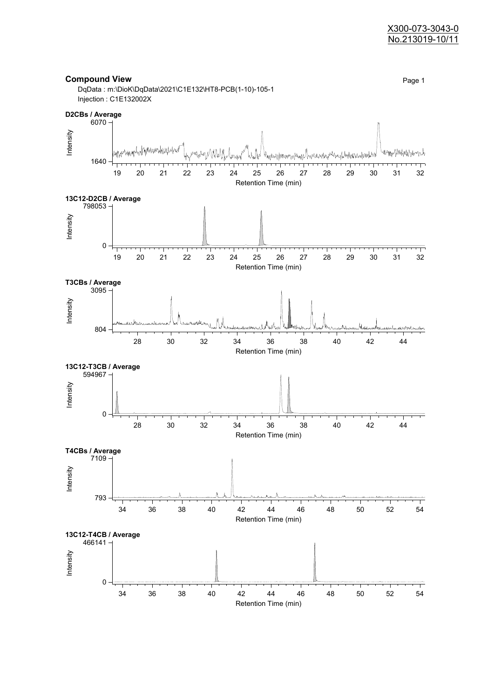